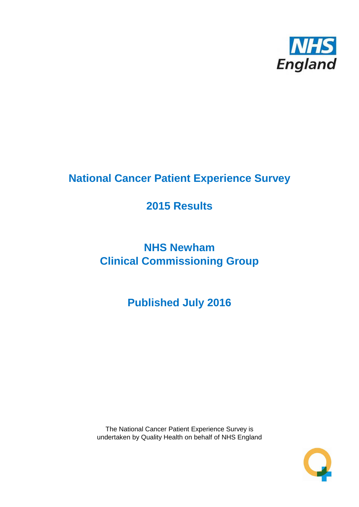

# **National Cancer Patient Experience Survey**

# **2015 Results**

# **NHS Newham Clinical Commissioning Group**

**Published July 2016**

The National Cancer Patient Experience Survey is undertaken by Quality Health on behalf of NHS England

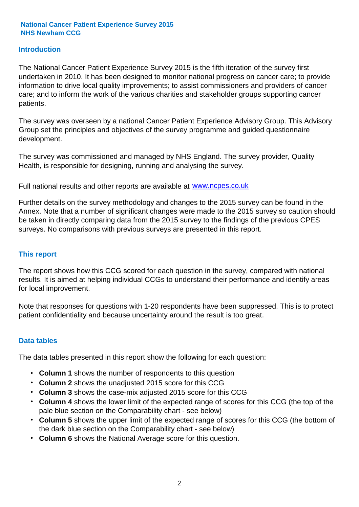### **Introduction**

The National Cancer Patient Experience Survey 2015 is the fifth iteration of the survey first undertaken in 2010. It has been designed to monitor national progress on cancer care; to provide information to drive local quality improvements; to assist commissioners and providers of cancer care; and to inform the work of the various charities and stakeholder groups supporting cancer patients.

The survey was overseen by a national Cancer Patient Experience Advisory Group. This Advisory Group set the principles and objectives of the survey programme and guided questionnaire development.

The survey was commissioned and managed by NHS England. The survey provider, Quality Health, is responsible for designing, running and analysing the survey.

Full national results and other reports are available at www.ncpes.co.uk

Further details on the survey methodology and changes to the 2015 survey can be found in the Annex. Note that a number of significant changes were made to the 2015 survey so caution should be taken in directly comparing data from the 2015 survey to the findings of the previous CPES surveys. No comparisons with previous surveys are presented in this report.

#### **This report**

The report shows how this CCG scored for each question in the survey, compared with national results. It is aimed at helping individual CCGs to understand their performance and identify areas for local improvement.

Note that responses for questions with 1-20 respondents have been suppressed. This is to protect patient confidentiality and because uncertainty around the result is too great.

#### **Data tables**

The data tables presented in this report show the following for each question:

- **Column 1** shows the number of respondents to this question
- **Column 2** shows the unadjusted 2015 score for this CCG
- **Column 3** shows the case-mix adjusted 2015 score for this CCG
- **Column 4** shows the lower limit of the expected range of scores for this CCG (the top of the pale blue section on the Comparability chart - see below)
- **Column 5** shows the upper limit of the expected range of scores for this CCG (the bottom of the dark blue section on the Comparability chart - see below)
- **Column 6** shows the National Average score for this question.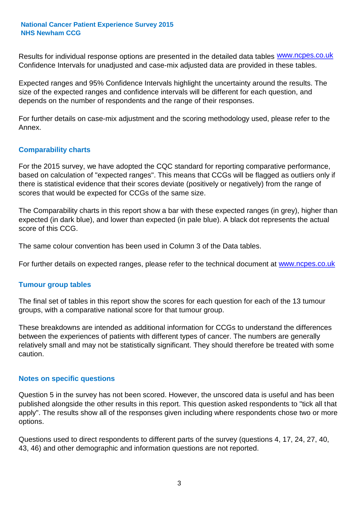Results for individual response options are presented in the detailed data tables **WWW.ncpes.co.uk** Confidence Intervals for unadjusted and case-mix adjusted data are provided in these tables.

Expected ranges and 95% Confidence Intervals highlight the uncertainty around the results. The size of the expected ranges and confidence intervals will be different for each question, and depends on the number of respondents and the range of their responses.

For further details on case-mix adjustment and the scoring methodology used, please refer to the Annex.

#### **Comparability charts**

For the 2015 survey, we have adopted the CQC standard for reporting comparative performance, based on calculation of "expected ranges". This means that CCGs will be flagged as outliers only if there is statistical evidence that their scores deviate (positively or negatively) from the range of scores that would be expected for CCGs of the same size.

The Comparability charts in this report show a bar with these expected ranges (in grey), higher than expected (in dark blue), and lower than expected (in pale blue). A black dot represents the actual score of this CCG.

The same colour convention has been used in Column 3 of the Data tables.

For further details on expected ranges, please refer to the technical document at **www.ncpes.co.uk** 

#### **Tumour group tables**

The final set of tables in this report show the scores for each question for each of the 13 tumour groups, with a comparative national score for that tumour group.

These breakdowns are intended as additional information for CCGs to understand the differences between the experiences of patients with different types of cancer. The numbers are generally relatively small and may not be statistically significant. They should therefore be treated with some caution.

#### **Notes on specific questions**

Question 5 in the survey has not been scored. However, the unscored data is useful and has been published alongside the other results in this report. This question asked respondents to "tick all that apply". The results show all of the responses given including where respondents chose two or more options.

Questions used to direct respondents to different parts of the survey (questions 4, 17, 24, 27, 40, 43, 46) and other demographic and information questions are not reported.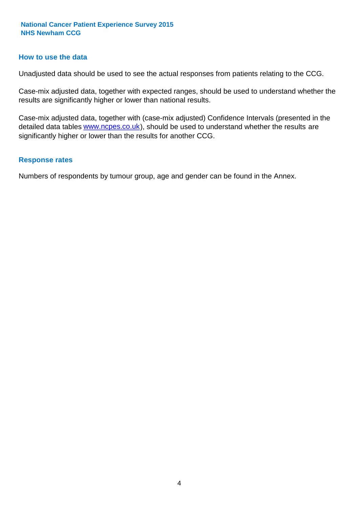#### **How to use the data**

Unadjusted data should be used to see the actual responses from patients relating to the CCG.

Case-mix adjusted data, together with expected ranges, should be used to understand whether the results are significantly higher or lower than national results.

Case-mix adjusted data, together with (case-mix adjusted) Confidence Intervals (presented in the detailed data tables **www.ncpes.co.uk**), should be used to understand whether the results are significantly higher or lower than the results for another CCG.

#### **Response rates**

Numbers of respondents by tumour group, age and gender can be found in the Annex.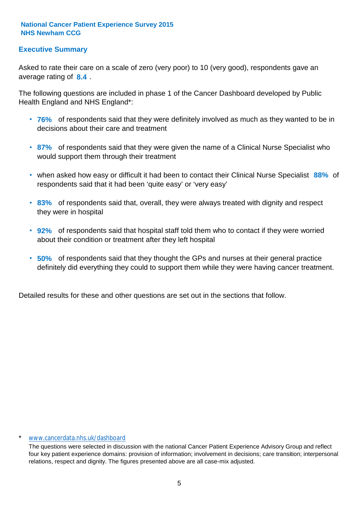## **Executive Summary**

average rating of 8.4. Asked to rate their care on a scale of zero (very poor) to 10 (very good), respondents gave an

The following questions are included in phase 1 of the Cancer Dashboard developed by Public Health England and NHS England\*:

- **76%** of respondents said that they were definitely involved as much as they wanted to be in decisions about their care and treatment
- **87%** of respondents said that they were given the name of a Clinical Nurse Specialist who would support them through their treatment
- when asked how easy or difficult it had been to contact their Clinical Nurse Specialist 88% of respondents said that it had been 'quite easy' or 'very easy'
- **83%** of respondents said that, overall, they were always treated with dignity and respect they were in hospital
- **92%** of respondents said that hospital staff told them who to contact if they were worried about their condition or treatment after they left hospital
- **50%** of respondents said that they thought the GPs and nurses at their general practice definitely did everything they could to support them while they were having cancer treatment.

Detailed results for these and other questions are set out in the sections that follow.

#### www.cancerdata.nhs.uk/dashboard

The questions were selected in discussion with the national Cancer Patient Experience Advisory Group and reflect four key patient experience domains: provision of information; involvement in decisions; care transition; interpersonal relations, respect and dignity. The figures presented above are all case-mix adjusted.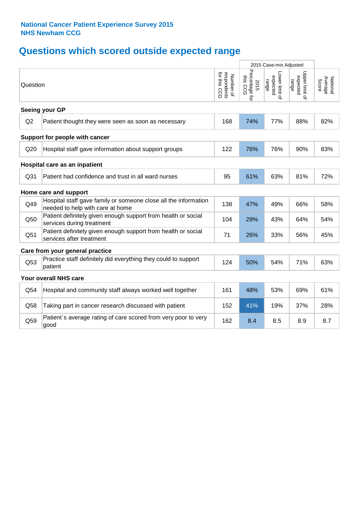# **Questions which scored outside expected range**

|                 |                                                                                                     |                                          | 2015 Case-mix Adjusted             |                                    |                                     |                              |
|-----------------|-----------------------------------------------------------------------------------------------------|------------------------------------------|------------------------------------|------------------------------------|-------------------------------------|------------------------------|
| Question        |                                                                                                     | respondents<br>for this CCG<br>Number of | Percentage for<br>this CCG<br>2015 | Lower limit o<br>expected<br>range | Upper limit of<br>expected<br>range | National<br>Average<br>Score |
|                 | Seeing your GP                                                                                      |                                          |                                    |                                    |                                     |                              |
| Q2              | Patient thought they were seen as soon as necessary                                                 | 168                                      | 74%                                | 77%                                | 88%                                 | 82%                          |
|                 | Support for people with cancer                                                                      |                                          |                                    |                                    |                                     |                              |
| Q20             | Hospital staff gave information about support groups                                                | 122                                      | 76%                                | 76%                                | 90%                                 | 83%                          |
|                 | Hospital care as an inpatient                                                                       |                                          |                                    |                                    |                                     |                              |
| Q <sub>31</sub> | Patient had confidence and trust in all ward nurses                                                 | 95                                       | 61%                                | 63%                                | 81%                                 | 72%                          |
|                 | Home care and support                                                                               |                                          |                                    |                                    |                                     |                              |
| Q49             | Hospital staff gave family or someone close all the information<br>needed to help with care at home | 138                                      | 47%                                | 49%                                | 66%                                 | 58%                          |
| Q50             | Patient definitely given enough support from health or social<br>services during treatment          | 104                                      | 29%                                | 43%                                | 64%                                 | 54%                          |
| Q51             | Patient definitely given enough support from health or social<br>services after treatment           | 71                                       | 26%                                | 33%                                | 56%                                 | 45%                          |
|                 | Care from your general practice                                                                     |                                          |                                    |                                    |                                     |                              |
| Q53             | Practice staff definitely did everything they could to support<br>patient                           | 124                                      | 50%                                | 54%                                | 71%                                 | 63%                          |
|                 | Your overall NHS care                                                                               |                                          |                                    |                                    |                                     |                              |
| Q54             | Hospital and community staff always worked well together                                            | 161                                      | 48%                                | 53%                                | 69%                                 | 61%                          |
| Q58             | Taking part in cancer research discussed with patient                                               | 152                                      | 41%                                | 19%                                | 37%                                 | 28%                          |
| Q59             | Patient's average rating of care scored from very poor to very<br>good                              | 162                                      | 8.4                                | 8.5                                | 8.9                                 | 8.7                          |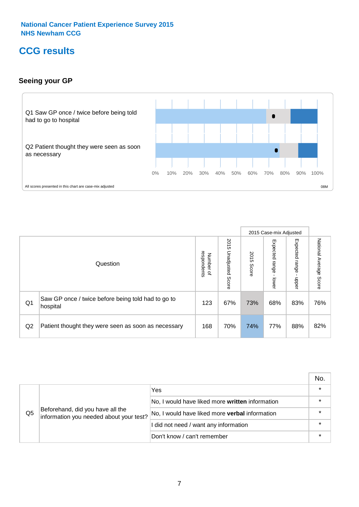# **CCG results**

## **Seeing your GP**



|    |                                                                |                                         |                             |               | 2015 Case-mix Adjusted     |                            |                           |
|----|----------------------------------------------------------------|-----------------------------------------|-----------------------------|---------------|----------------------------|----------------------------|---------------------------|
|    | Question                                                       | respondents<br>Number<br>$\overline{a}$ | 2015<br>Unadjusted<br>Score | 2015<br>Score | Expected<br>range<br>lower | Expected<br>range<br>nbber | National Average<br>Score |
| Q1 | Saw GP once / twice before being told had to go to<br>hospital | 123                                     | 67%                         | 73%           | 68%                        | 83%                        | 76%                       |
| Q2 | Patient thought they were seen as soon as necessary            | 168                                     | 70%                         | 74%           | 77%                        | 88%                        | 82%                       |

|    |                                                                             |                                                 | No. |
|----|-----------------------------------------------------------------------------|-------------------------------------------------|-----|
|    | Beforehand, did you have all the<br>information you needed about your test? | Yes                                             |     |
|    |                                                                             | No, I would have liked more written information |     |
| Q5 |                                                                             | No, I would have liked more verbal information  |     |
|    |                                                                             | I did not need / want any information           |     |
|    |                                                                             | Don't know / can't remember                     |     |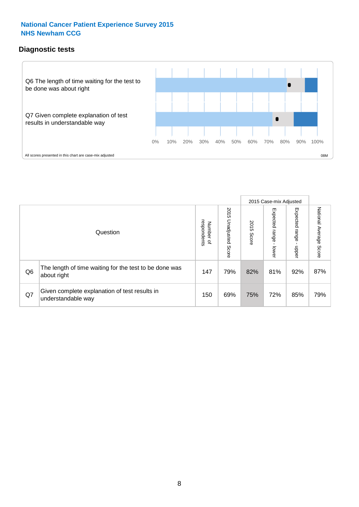## **Diagnostic tests**



|                |                                                                       |                                       |                             |               | 2015 Case-mix Adjusted       |                         |                           |
|----------------|-----------------------------------------------------------------------|---------------------------------------|-----------------------------|---------------|------------------------------|-------------------------|---------------------------|
|                | Question                                                              | respondents<br>Number<br>$\mathbf{Q}$ | 2015<br>Unadjusted<br>Score | 2015<br>Score | Expected<br>I range<br>lower | Expected range<br>nbber | National Average<br>Score |
| Q <sub>6</sub> | The length of time waiting for the test to be done was<br>about right | 147                                   | 79%                         | 82%           | 81%                          | 92%                     | 87%                       |
| Q7             | Given complete explanation of test results in<br>understandable way   | 150                                   | 69%                         | 75%           | 72%                          | 85%                     | 79%                       |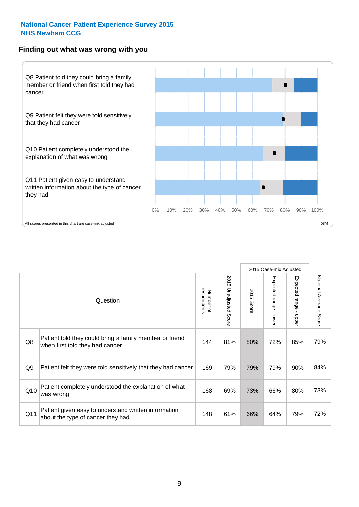#### **Finding out what was wrong with you**



|                |                                                                                            |                          |                                 |                      | 2015 Case-mix Adjusted  |                                         |                        |
|----------------|--------------------------------------------------------------------------------------------|--------------------------|---------------------------------|----------------------|-------------------------|-----------------------------------------|------------------------|
|                | Question                                                                                   | respondents<br>Number of | 2015<br><b>Unadjusted Score</b> | 2015<br><b>Score</b> | Expected range<br>lower | Expected range<br>$\mathbf{I}$<br>nbber | National Average Score |
| Q8             | Patient told they could bring a family member or friend<br>when first told they had cancer | 144                      | 81%                             | 80%                  | 72%                     | 85%                                     | 79%                    |
| Q <sub>9</sub> | Patient felt they were told sensitively that they had cancer                               | 169                      | 79%                             | 79%                  | 79%                     | 90%                                     | 84%                    |
| Q10            | Patient completely understood the explanation of what<br>was wrong                         | 168                      | 69%                             | 73%                  | 66%                     | 80%                                     | 73%                    |
| Q11            | Patient given easy to understand written information<br>about the type of cancer they had  | 148                      | 61%                             | 66%                  | 64%                     | 79%                                     | 72%                    |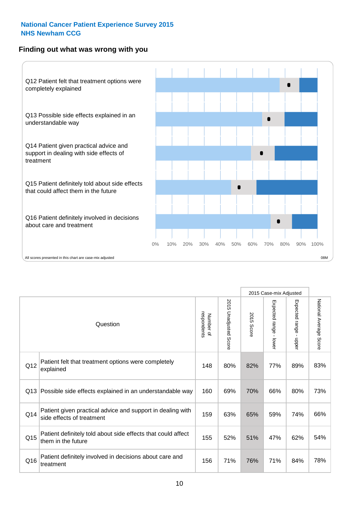## **Finding out what was wrong with you**



|          |                                                                                         |                          |                                 |               | 2015 Case-mix Adjusted                    |                        |                        |
|----------|-----------------------------------------------------------------------------------------|--------------------------|---------------------------------|---------------|-------------------------------------------|------------------------|------------------------|
| Question |                                                                                         | Number of<br>respondents | 2015<br><b>Unadjusted Score</b> | 2015<br>Score | Expected range<br>$\blacksquare$<br>lower | Expected range - upper | National Average Score |
| Q12      | Patient felt that treatment options were completely<br>explained                        | 148                      | 80%                             | 82%           | 77%                                       | 89%                    | 83%                    |
| Q13      | Possible side effects explained in an understandable way                                | 160                      | 69%                             | 70%           | 66%                                       | 80%                    | 73%                    |
| Q14      | Patient given practical advice and support in dealing with<br>side effects of treatment | 159                      | 63%                             | 65%           | 59%                                       | 74%                    | 66%                    |
| Q15      | Patient definitely told about side effects that could affect<br>them in the future      | 155                      | 52%                             | 51%           | 47%                                       | 62%                    | 54%                    |
| Q16      | Patient definitely involved in decisions about care and<br>treatment                    | 156                      | 71%                             | 76%           | 71%                                       | 84%                    | 78%                    |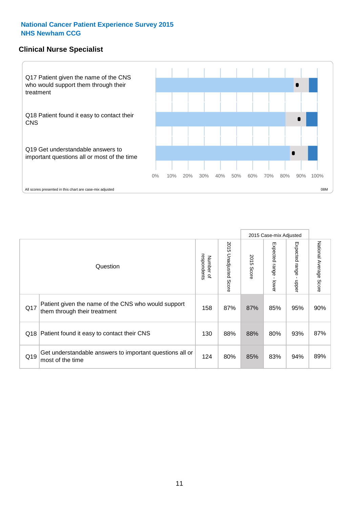#### **Clinical Nurse Specialist**



|     |                                                                                     |                          |                       |               | 2015 Case-mix Adjusted  |                         |                           |
|-----|-------------------------------------------------------------------------------------|--------------------------|-----------------------|---------------|-------------------------|-------------------------|---------------------------|
|     | Question                                                                            | respondents<br>Number of | 2015 Unadjusted Score | 2015<br>Score | Expected range<br>lower | Expected range<br>nbber | National Average<br>Score |
| Q17 | Patient given the name of the CNS who would support<br>them through their treatment | 158                      | 87%                   | 87%           | 85%                     | 95%                     | 90%                       |
| Q18 | Patient found it easy to contact their CNS                                          | 130                      | 88%                   | 88%           | 80%                     | 93%                     | 87%                       |
| Q19 | Get understandable answers to important questions all or<br>most of the time        | 124                      | 80%                   | 85%           | 83%                     | 94%                     | 89%                       |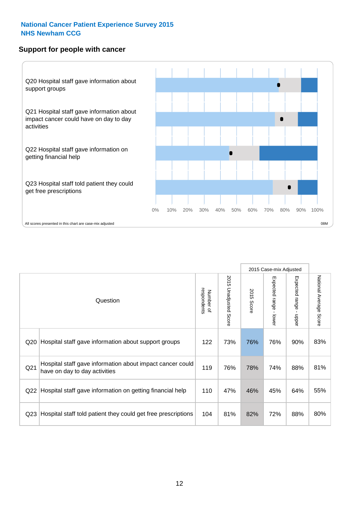#### **Support for people with cancer**



|                 |                                                                                            |                          |                                 |               | 2015 Case-mix Adjusted                    |                                           |                        |
|-----------------|--------------------------------------------------------------------------------------------|--------------------------|---------------------------------|---------------|-------------------------------------------|-------------------------------------------|------------------------|
|                 | Question                                                                                   | respondents<br>Number of | 2015<br><b>Unadjusted Score</b> | 2015<br>Score | Expected range<br>$\blacksquare$<br>lower | Expected range<br>$\blacksquare$<br>nbber | National Average Score |
| Q20             | Hospital staff gave information about support groups                                       | 122                      | 73%                             | 76%           | 76%                                       | 90%                                       | 83%                    |
| Q <sub>21</sub> | Hospital staff gave information about impact cancer could<br>have on day to day activities | 119                      | 76%                             | 78%           | 74%                                       | 88%                                       | 81%                    |
| Q22             | Hospital staff gave information on getting financial help                                  | 110                      | 47%                             | 46%           | 45%                                       | 64%                                       | 55%                    |
| Q <sub>23</sub> | Hospital staff told patient they could get free prescriptions                              | 104                      | 81%                             | 82%           | 72%                                       | 88%                                       | 80%                    |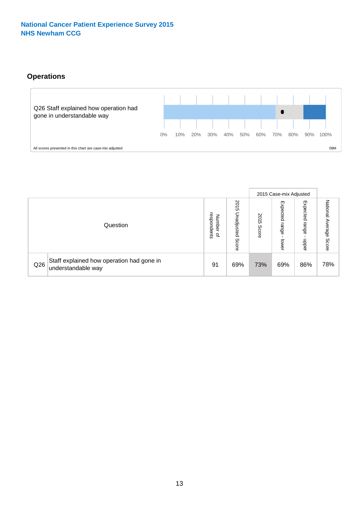# **Operations**



|     |                                                                 |                                              |                             |               | 2015 Case-mix Adjusted     |                           |                              |
|-----|-----------------------------------------------------------------|----------------------------------------------|-----------------------------|---------------|----------------------------|---------------------------|------------------------------|
|     | Question                                                        | respondents<br>Number<br>$\overline{\sigma}$ | 2015<br>Unadjusted<br>Score | 2015<br>Score | Expected<br>range<br>lower | Expected<br>range<br>dddn | National<br>Average<br>Score |
| Q26 | Staff explained how operation had gone in<br>understandable way | 91                                           | 69%                         | 73%           | 69%                        | 86%                       | 78%                          |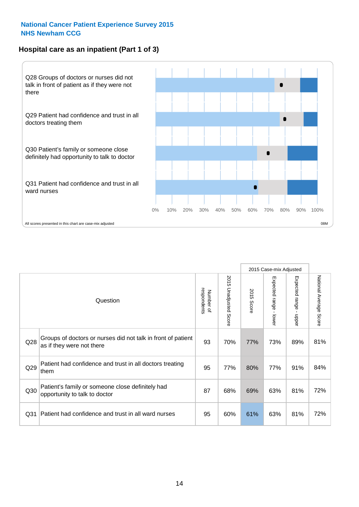# **Hospital care as an inpatient (Part 1 of 3)**



All scores presented in this chart are case-mix adjusted  $08M$ 

|                 |                                                                                           |                          |                       |                      | 2015 Case-mix Adjusted                    |                                           |                        |
|-----------------|-------------------------------------------------------------------------------------------|--------------------------|-----------------------|----------------------|-------------------------------------------|-------------------------------------------|------------------------|
|                 | Question                                                                                  | respondents<br>Number of | 2015 Unadjusted Score | 2015<br><b>Score</b> | Expected range<br>$\blacksquare$<br>lower | Expected range<br>$\blacksquare$<br>nbber | National Average Score |
| Q28             | Groups of doctors or nurses did not talk in front of patient<br>as if they were not there | 93                       | 70%                   | 77%                  | 73%                                       | 89%                                       | 81%                    |
| Q29             | Patient had confidence and trust in all doctors treating<br>them                          | 95                       | 77%                   | 80%                  | 77%                                       | 91%                                       | 84%                    |
| Q30             | Patient's family or someone close definitely had<br>opportunity to talk to doctor         | 87                       | 68%                   | 69%                  | 63%                                       | 81%                                       | 72%                    |
| Q <sub>31</sub> | Patient had confidence and trust in all ward nurses                                       | 95                       | 60%                   | 61%                  | 63%                                       | 81%                                       | 72%                    |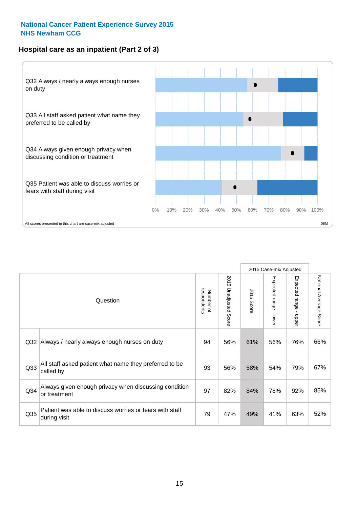## **Hospital care as an inpatient (Part 2 of 3)**



|                 |                                                                         |                          |                       |               | 2015 Case-mix Adjusted    |                                           |                        |
|-----------------|-------------------------------------------------------------------------|--------------------------|-----------------------|---------------|---------------------------|-------------------------------------------|------------------------|
|                 | Question                                                                | respondents<br>Number of | 2015 Unadjusted Score | 2015<br>Score | Expected range<br>- lower | Expected range<br>$\blacksquare$<br>nbber | National Average Score |
| Q <sub>32</sub> | Always / nearly always enough nurses on duty                            | 94                       | 56%                   | 61%           | 56%                       | 76%                                       | 66%                    |
| Q <sub>33</sub> | All staff asked patient what name they preferred to be<br>called by     | 93                       | 56%                   | 58%           | 54%                       | 79%                                       | 67%                    |
| Q34             | Always given enough privacy when discussing condition<br>or treatment   | 97                       | 82%                   | 84%           | 78%                       | 92%                                       | 85%                    |
| Q35             | Patient was able to discuss worries or fears with staff<br>during visit | 79                       | 47%                   | 49%           | 41%                       | 63%                                       | 52%                    |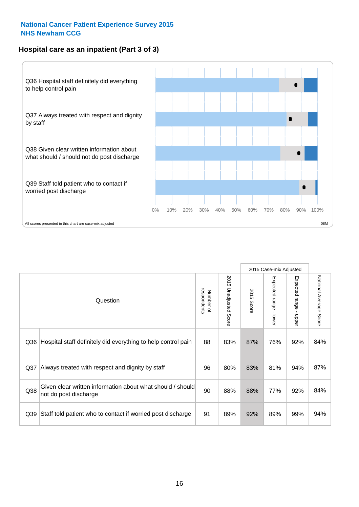### **Hospital care as an inpatient (Part 3 of 3)**



|                 |                                                                                     |                          |                                 |               | 2015 Case-mix Adjusted                    |                                           |                        |
|-----------------|-------------------------------------------------------------------------------------|--------------------------|---------------------------------|---------------|-------------------------------------------|-------------------------------------------|------------------------|
|                 | Question                                                                            | respondents<br>Number of | 2015<br><b>Unadjusted Score</b> | 2015<br>Score | Expected range<br>$\blacksquare$<br>lower | Expected range<br>$\blacksquare$<br>nbber | National Average Score |
| Q36             | Hospital staff definitely did everything to help control pain                       | 88                       | 83%                             | 87%           | 76%                                       | 92%                                       | 84%                    |
| Q <sub>37</sub> | Always treated with respect and dignity by staff                                    | 96                       | 80%                             | 83%           | 81%                                       | 94%                                       | 87%                    |
| Q38             | Given clear written information about what should / should<br>not do post discharge | 90                       | 88%                             | 88%           | 77%                                       | 92%                                       | 84%                    |
| Q39             | Staff told patient who to contact if worried post discharge                         | 91                       | 89%                             | 92%           | 89%                                       | 99%                                       | 94%                    |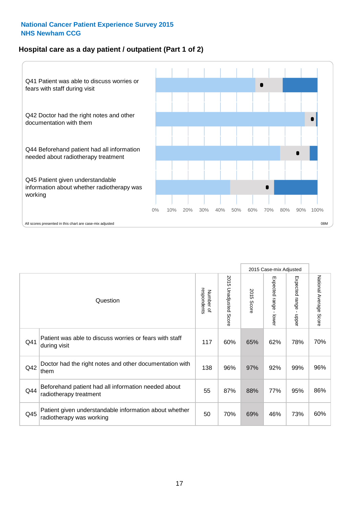## **Hospital care as a day patient / outpatient (Part 1 of 2)**



|     |                                                                                    |                          |                                 |                      | 2015 Case-mix Adjusted                  |                                         |                        |
|-----|------------------------------------------------------------------------------------|--------------------------|---------------------------------|----------------------|-----------------------------------------|-----------------------------------------|------------------------|
|     | Question                                                                           | respondents<br>Number of | 2015<br><b>Unadjusted Score</b> | 2015<br><b>Score</b> | Expected range<br>$\mathbf{I}$<br>lower | Expected range<br>$\mathbf{I}$<br>nbber | National Average Score |
| Q41 | Patient was able to discuss worries or fears with staff<br>during visit            | 117                      | 60%                             | 65%                  | 62%                                     | 78%                                     | 70%                    |
| Q42 | Doctor had the right notes and other documentation with<br>them                    | 138                      | 96%                             | 97%                  | 92%                                     | 99%                                     | 96%                    |
| Q44 | Beforehand patient had all information needed about<br>radiotherapy treatment      | 55                       | 87%                             | 88%                  | 77%                                     | 95%                                     | 86%                    |
| Q45 | Patient given understandable information about whether<br>radiotherapy was working | 50                       | 70%                             | 69%                  | 46%                                     | 73%                                     | 60%                    |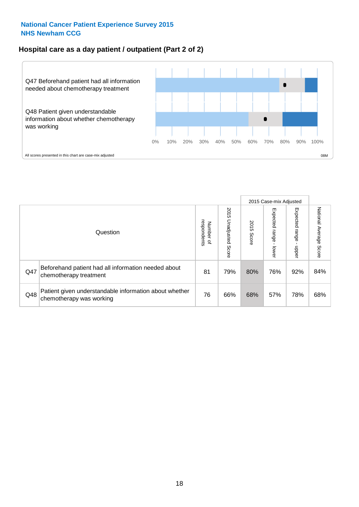### **Hospital care as a day patient / outpatient (Part 2 of 2)**



|     |                                                                                    |                                       |                             |               |                              | 2015 Case-mix Adjusted  |                           |
|-----|------------------------------------------------------------------------------------|---------------------------------------|-----------------------------|---------------|------------------------------|-------------------------|---------------------------|
|     | Question                                                                           | respondents<br>Number<br>$\mathbf{Q}$ | 2015<br>Unadjusted<br>Score | 2015<br>Score | Expected<br>I range<br>lower | Expected range<br>doper | National Average<br>Score |
| Q47 | Beforehand patient had all information needed about<br>chemotherapy treatment      | 81                                    | 79%                         | 80%           | 76%                          | 92%                     | 84%                       |
| Q48 | Patient given understandable information about whether<br>chemotherapy was working | 76                                    | 66%                         | 68%           | 57%                          | 78%                     | 68%                       |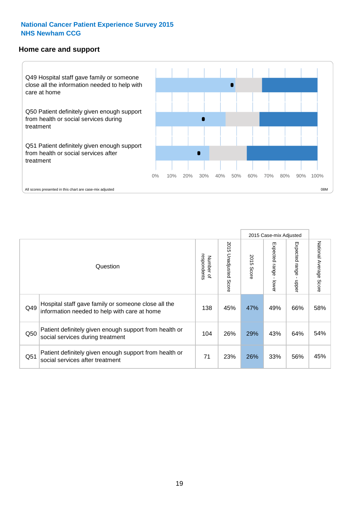#### **Home care and support**



2015 Case-mix Adjusted 2015 Unadjusted Score Expected range - upper National Average Score 2015 Unadjusted Score Expected range - lower National Average Score Expected range - lower Expected range - upper Number of<br>respondents 2015 Score respondents 2015 Score Number of Question Hospital staff gave family or someone close all the Q49 138 45% 47% 49% 66% information needed to help with care at home 58% Patient definitely given enough support from health or  $\frac{1050}{\sqrt{100}}$  social services during treatment  $\frac{104}{\sqrt{100}}$   $\frac{104}{\sqrt{100}}$   $\frac{26\%}{\sqrt{29\%}}$   $\frac{43\%}{\sqrt{100}}$  64%  $\frac{54\%}{\sqrt{100}}$ Patient definitely given enough support from health or Q51 social services after treatment<br>
Q51 social services after treatment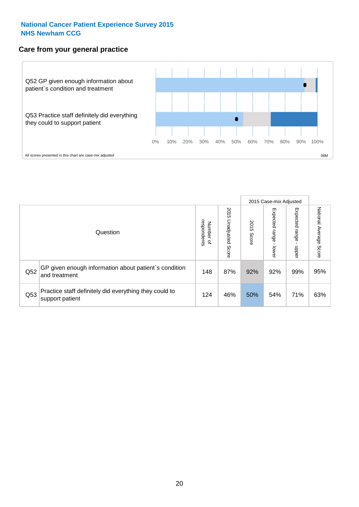#### **Care from your general practice**



|     |                                                                           |                                       |                             |               |                                    | 2015 Case-mix Adjusted     |                           |
|-----|---------------------------------------------------------------------------|---------------------------------------|-----------------------------|---------------|------------------------------------|----------------------------|---------------------------|
|     | Question                                                                  | respondents<br>Number<br>$\mathbf{Q}$ | 2015<br>Unadjusted<br>Score | 2015<br>Score | Expected<br><b>Irange</b><br>lower | Expected<br>range<br>doper | National Average<br>Score |
| Q52 | GP given enough information about patient's condition<br>and treatment    | 148                                   | 87%                         | 92%           | 92%                                | 99%                        | 95%                       |
| Q53 | Practice staff definitely did everything they could to<br>support patient | 124                                   | 46%                         | 50%           | 54%                                | 71%                        | 63%                       |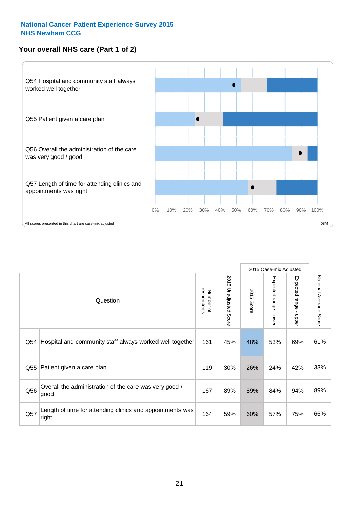# **Your overall NHS care (Part 1 of 2)**



|     |                                                                    |                          |                                 | 2015 Case-mix Adjusted |                                           |                           |                        |
|-----|--------------------------------------------------------------------|--------------------------|---------------------------------|------------------------|-------------------------------------------|---------------------------|------------------------|
|     | Question                                                           | respondents<br>Number of | 2015<br><b>Unadjusted Score</b> | 2015<br>Score          | Expected range<br>$\blacksquare$<br>lower | Expected range<br>- nbber | National Average Score |
| Q54 | Hospital and community staff always worked well together           | 161                      | 45%                             | 48%                    | 53%                                       | 69%                       | 61%                    |
| Q55 | Patient given a care plan                                          | 119                      | 30%                             | 26%                    | 24%                                       | 42%                       | 33%                    |
| Q56 | Overall the administration of the care was very good /<br>good     | 167                      | 89%                             | 89%                    | 84%                                       | 94%                       | 89%                    |
| Q57 | Length of time for attending clinics and appointments was<br>right | 164                      | 59%                             | 60%                    | 57%                                       | 75%                       | 66%                    |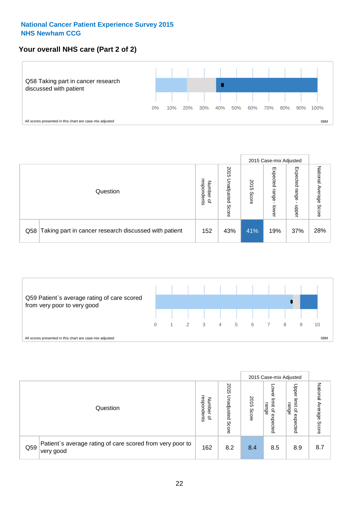# **Your overall NHS care (Part 2 of 2)**



|     |                                                       |                                         |                             |               |                            | 2015 Case-mix Adjusted     |                        |
|-----|-------------------------------------------------------|-----------------------------------------|-----------------------------|---------------|----------------------------|----------------------------|------------------------|
|     | Question                                              | respondents<br>Number<br>$\overline{a}$ | 2015<br>Jnadjusted<br>Score | 2015<br>Score | Expected<br>range<br>lower | Expected<br>range<br>doper | National Average Score |
| Q58 | Taking part in cancer research discussed with patient | 152                                     | 43%                         | 41%           | 19%                        | 37%                        | 28%                    |



|     |                                                                        |                                              |                             |               |                                                    | 2015 Case-mix Adjusted                                          |                              |
|-----|------------------------------------------------------------------------|----------------------------------------------|-----------------------------|---------------|----------------------------------------------------|-----------------------------------------------------------------|------------------------------|
|     | Question                                                               | respondents<br>Number<br>$\overline{\sigma}$ | 2015<br>Jnadjusted<br>Score | 2015<br>Score | OWer<br>limit<br>range<br>$\mathsf{a}$<br>expected | Upper<br>limit<br>range<br>$\overline{\mathcal{C}}$<br>expected | National<br>Average<br>Score |
| Q59 | Patient's average rating of care scored from very poor to<br>very good | 162                                          | 8.2                         | 8.4           | 8.5                                                | 8.9                                                             | 8.7                          |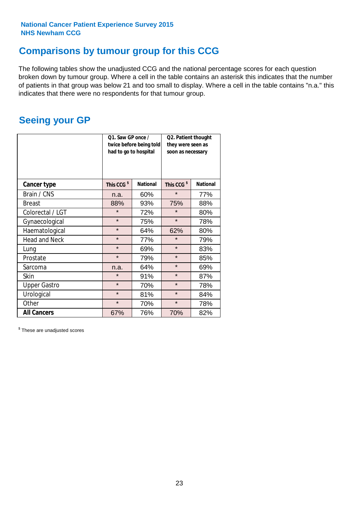# **Comparisons by tumour group for this CCG**

The following tables show the unadjusted CCG and the national percentage scores for each question broken down by tumour group. Where a cell in the table contains an asterisk this indicates that the number of patients in that group was below 21 and too small to display. Where a cell in the table contains "n.a." this indicates that there were no respondents for that tumour group.

# **Seeing your GP**

|                      | Q1. Saw GP once /<br>had to go to hospital | twice before being told | Q2. Patient thought<br>they were seen as<br>soon as necessary |                 |  |
|----------------------|--------------------------------------------|-------------------------|---------------------------------------------------------------|-----------------|--|
| <b>Cancer type</b>   | This CCG <sup>\$</sup>                     | <b>National</b>         | This CCG <sup>\$</sup>                                        | <b>National</b> |  |
| Brain / CNS          | n.a.                                       | 60%                     | $\star$                                                       | 77%             |  |
| <b>Breast</b>        | 88%                                        | 93%                     | 75%                                                           | 88%             |  |
| Colorectal / LGT     | $\star$                                    | 72%                     | $\star$                                                       | 80%             |  |
| Gynaecological       | $\star$                                    | 75%                     | $\star$                                                       | 78%             |  |
| Haematological       | $\star$                                    | 64%                     | 62%                                                           | 80%             |  |
| <b>Head and Neck</b> | $\star$                                    | 77%                     | $\star$                                                       | 79%             |  |
| Lung                 | $\star$                                    | 69%                     | $\star$                                                       | 83%             |  |
| Prostate             | $\star$                                    | 79%                     | $\star$                                                       | 85%             |  |
| Sarcoma              | n.a.                                       | 64%                     | $\star$                                                       | 69%             |  |
| <b>Skin</b>          | $\star$                                    | 91%                     | $\star$                                                       | 87%             |  |
| <b>Upper Gastro</b>  | $\star$                                    | 70%                     | $\star$                                                       | 78%             |  |
| Urological           | $\star$                                    | 81%                     | $\star$                                                       | 84%             |  |
| Other                | $\star$                                    | 70%                     | $\star$                                                       | 78%             |  |
| <b>All Cancers</b>   | 67%                                        | 76%                     | 70%                                                           | 82%             |  |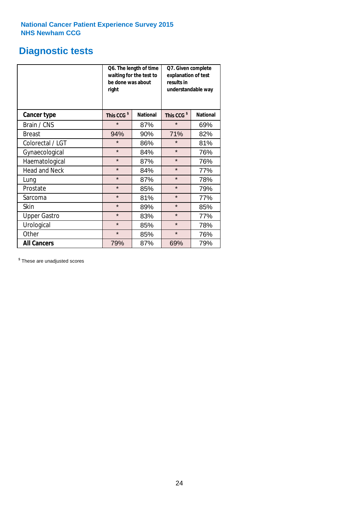# **Diagnostic tests**

|                      | be done was about<br>right | Q6. The length of time<br>waiting for the test to | Q7. Given complete<br>explanation of test<br>results in<br>understandable way |                 |  |  |
|----------------------|----------------------------|---------------------------------------------------|-------------------------------------------------------------------------------|-----------------|--|--|
| <b>Cancer type</b>   | This CCG <sup>\$</sup>     | <b>National</b>                                   | This CCG <sup>\$</sup>                                                        | <b>National</b> |  |  |
| Brain / CNS          | $\star$                    | 87%                                               | $\star$                                                                       | 69%             |  |  |
| <b>Breast</b>        | 94%                        | 90%                                               | 71%                                                                           | 82%             |  |  |
| Colorectal / LGT     | $\star$                    | 86%                                               | $\star$                                                                       | 81%             |  |  |
| Gynaecological       | $\star$                    | 84%                                               | $\star$                                                                       | 76%             |  |  |
| Haematological       | $\star$                    | 87%                                               | $\star$                                                                       | 76%             |  |  |
| <b>Head and Neck</b> | $\star$                    | 84%                                               | $\star$                                                                       | 77%             |  |  |
| Lung                 | $\star$                    | 87%                                               | $\star$                                                                       | 78%             |  |  |
| Prostate             | $\star$                    | 85%                                               | $\star$                                                                       | 79%             |  |  |
| Sarcoma              | $\star$                    | 81%                                               | $\star$                                                                       | 77%             |  |  |
| Skin                 | $\star$                    | 89%                                               | $\star$                                                                       | 85%             |  |  |
| <b>Upper Gastro</b>  | $\star$                    | 83%                                               | $\star$                                                                       | 77%             |  |  |
| Urological           | $\star$                    | 85%                                               | $\star$                                                                       | 78%             |  |  |
| Other                | $\star$                    | 85%                                               | $\star$                                                                       | 76%             |  |  |
| <b>All Cancers</b>   | 79%                        | 87%                                               | 69%                                                                           | 79%             |  |  |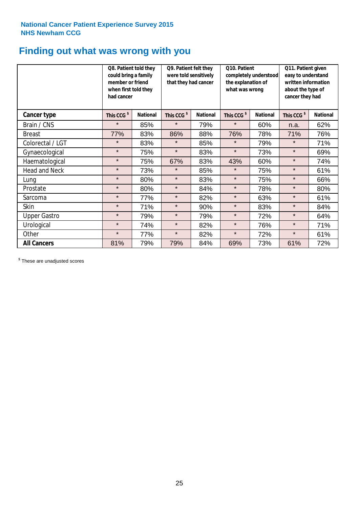# **Finding out what was wrong with you**

|                      | Q8. Patient told they<br>could bring a family<br>member or friend<br>when first told they<br>had cancer |                 | Q9. Patient felt they<br>were told sensitively<br>that they had cancer |                 | Q10. Patient<br>completely understood<br>the explanation of<br>what was wrong |                 | Q11. Patient given<br>easy to understand<br>written information<br>about the type of<br>cancer they had |                 |
|----------------------|---------------------------------------------------------------------------------------------------------|-----------------|------------------------------------------------------------------------|-----------------|-------------------------------------------------------------------------------|-----------------|---------------------------------------------------------------------------------------------------------|-----------------|
| Cancer type          | This CCG <sup>\$</sup>                                                                                  | <b>National</b> | This CCG <sup>\$</sup>                                                 | <b>National</b> | This CCG <sup>\$</sup>                                                        | <b>National</b> | This CCG <sup>\$</sup>                                                                                  | <b>National</b> |
| Brain / CNS          | $\star$                                                                                                 | 85%             | $\star$                                                                | 79%             | $\star$                                                                       | 60%             | n.a.                                                                                                    | 62%             |
| <b>Breast</b>        | 77%                                                                                                     | 83%             | 86%                                                                    | 88%             | 76%                                                                           | 78%             | 71%                                                                                                     | 76%             |
| Colorectal / LGT     | $\star$                                                                                                 | 83%             | $\star$                                                                | 85%             | $\star$                                                                       | 79%             | $\star$                                                                                                 | 71%             |
| Gynaecological       | $\star$                                                                                                 | 75%             | $\star$                                                                | 83%             | $\star$                                                                       | 73%             | $\star$                                                                                                 | 69%             |
| Haematological       | $\star$                                                                                                 | 75%             | 67%                                                                    | 83%             | 43%                                                                           | 60%             | $\star$                                                                                                 | 74%             |
| <b>Head and Neck</b> | $\star$                                                                                                 | 73%             | $\star$                                                                | 85%             | $\star$                                                                       | 75%             | $\star$                                                                                                 | 61%             |
| Lung                 | $\star$                                                                                                 | 80%             | $\star$                                                                | 83%             | $\star$                                                                       | 75%             | $\star$                                                                                                 | 66%             |
| Prostate             | $\star$                                                                                                 | 80%             | $\star$                                                                | 84%             | $\star$                                                                       | 78%             | $\star$                                                                                                 | 80%             |
| Sarcoma              | $\star$                                                                                                 | 77%             | $\star$                                                                | 82%             | $\star$                                                                       | 63%             | $\star$                                                                                                 | 61%             |
| Skin                 | $\star$                                                                                                 | 71%             | $\star$                                                                | 90%             | $\star$                                                                       | 83%             | $\star$                                                                                                 | 84%             |
| <b>Upper Gastro</b>  | $\star$                                                                                                 | 79%             | $\star$                                                                | 79%             | $\star$                                                                       | 72%             | $\star$                                                                                                 | 64%             |
| Urological           | $\star$                                                                                                 | 74%             | $\star$                                                                | 82%             | $\star$                                                                       | 76%             | $\star$                                                                                                 | 71%             |
| Other                | $\star$                                                                                                 | 77%             | $\star$                                                                | 82%             | $\star$                                                                       | 72%             | $\star$                                                                                                 | 61%             |
| <b>All Cancers</b>   | 81%                                                                                                     | 79%             | 79%                                                                    | 84%             | 69%                                                                           | 73%             | 61%                                                                                                     | 72%             |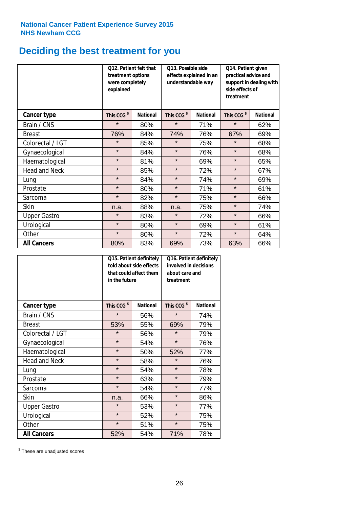# **Deciding the best treatment for you**

|                      | treatment options<br>were completely<br>explained | Q12. Patient felt that | Q13. Possible side<br>understandable way | effects explained in an | Q14. Patient given<br>practical advice and<br>support in dealing with<br>side effects of<br>treatment |                 |  |
|----------------------|---------------------------------------------------|------------------------|------------------------------------------|-------------------------|-------------------------------------------------------------------------------------------------------|-----------------|--|
| Cancer type          | This CCG <sup>\$</sup>                            | <b>National</b>        | This CCG <sup>\$</sup>                   | <b>National</b>         | This CCG <sup>\$</sup>                                                                                | <b>National</b> |  |
| Brain / CNS          | $\star$                                           | 80%                    | $\star$                                  | 71%                     | $\star$                                                                                               | 62%             |  |
| <b>Breast</b>        | 76%                                               | 84%                    | 74%                                      | 76%                     | 67%                                                                                                   | 69%             |  |
| Colorectal / LGT     | $\star$                                           | 85%                    | $\star$                                  | 75%                     | $\star$                                                                                               | 68%             |  |
| Gynaecological       | $\star$                                           | 84%                    | $\star$                                  | 76%                     | $\star$                                                                                               | 68%             |  |
| Haematological       | $\star$                                           | 81%                    | $\star$                                  | 69%                     | $\star$                                                                                               | 65%             |  |
| <b>Head and Neck</b> | $\star$                                           | 85%                    | $\star$                                  | 72%                     | $\star$                                                                                               | 67%             |  |
| Lung                 | $\star$                                           | 84%                    | $\star$                                  | 74%                     | $\star$                                                                                               | 69%             |  |
| Prostate             | $\star$                                           | 80%                    | $\star$                                  | 71%                     | $\star$                                                                                               | 61%             |  |
| Sarcoma              | $\star$                                           | 82%                    | $\star$                                  | 75%                     | $\star$                                                                                               | 66%             |  |
| Skin                 | n.a.                                              | 88%                    | n.a.                                     | 75%                     | $\star$                                                                                               | 74%             |  |
| <b>Upper Gastro</b>  | $\star$                                           | 83%                    | $\star$                                  | 72%                     | $\star$                                                                                               | 66%             |  |
| Urological           | $\star$                                           | 80%                    | $\star$                                  | 69%                     | $\star$                                                                                               | 61%             |  |
| Other                | $\star$                                           | 80%                    | $\star$                                  | 72%                     | $\star$                                                                                               | 64%             |  |
| <b>All Cancers</b>   | 80%                                               | 83%                    | 69%                                      | 73%                     | 63%                                                                                                   | 66%             |  |

|                      | in the future          | Q15. Patient definitely<br>told about side effects<br>that could affect them | Q16. Patient definitely<br>involved in decisions<br>about care and<br>treatment |                 |  |
|----------------------|------------------------|------------------------------------------------------------------------------|---------------------------------------------------------------------------------|-----------------|--|
| <b>Cancer type</b>   | This CCG <sup>\$</sup> | <b>National</b>                                                              | This CCG <sup>\$</sup>                                                          | <b>National</b> |  |
| Brain / CNS          | $\star$                | 56%                                                                          | $\star$                                                                         | 74%             |  |
| <b>Breast</b>        | 53%                    | 55%                                                                          | 69%                                                                             | 79%             |  |
| Colorectal / LGT     | $\star$                | 56%                                                                          | $\star$                                                                         | 79%             |  |
| Gynaecological       | $\star$<br>54%         |                                                                              | $\star$                                                                         | 76%             |  |
| Haematological       | $\star$<br>50%         |                                                                              | 52%                                                                             | 77%             |  |
| <b>Head and Neck</b> | $\star$                | 58%                                                                          | $\star$                                                                         | 76%             |  |
| Lung                 | $\star$                | 54%                                                                          | $\star$                                                                         | 78%             |  |
| Prostate             | $\star$                | 63%                                                                          | $\star$                                                                         | 79%             |  |
| Sarcoma              | $\star$                | 54%                                                                          | $\star$                                                                         | 77%             |  |
| Skin                 | n.a.                   | 66%                                                                          | $\star$                                                                         | 86%             |  |
| <b>Upper Gastro</b>  | $\star$                | 53%                                                                          | $\star$                                                                         | 77%             |  |
| Urological           | $\star$                | 52%                                                                          | $\star$                                                                         | 75%             |  |
| Other                | $\star$                | 51%                                                                          | $\star$                                                                         | 75%             |  |
| <b>All Cancers</b>   | 52%                    | 54%                                                                          | 71%                                                                             | 78%             |  |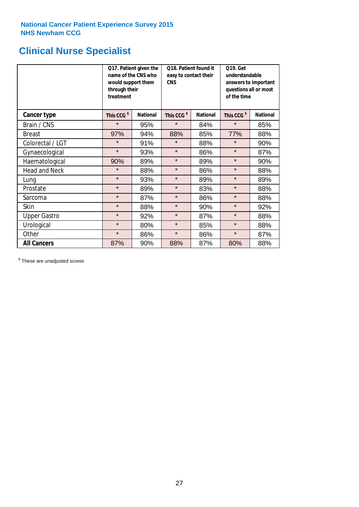# **Clinical Nurse Specialist**

|                      | would support them<br>through their<br>treatment | Q17. Patient given the<br>name of the CNS who | Q18. Patient found it<br>easy to contact their<br><b>CNS</b> |                 | <b>Q19. Get</b><br>understandable<br>answers to important<br>questions all or most<br>of the time |                 |  |
|----------------------|--------------------------------------------------|-----------------------------------------------|--------------------------------------------------------------|-----------------|---------------------------------------------------------------------------------------------------|-----------------|--|
| <b>Cancer type</b>   | This CCG <sup>\$</sup>                           | <b>National</b>                               | This CCG <sup>\$</sup>                                       | <b>National</b> | This CCG <sup>\$</sup>                                                                            | <b>National</b> |  |
| Brain / CNS          | $\star$                                          | 95%                                           | $\star$                                                      | 84%             | $\star$                                                                                           | 85%             |  |
| <b>Breast</b>        | 97%                                              | 94%                                           | 88%                                                          | 85%             | 77%                                                                                               | 88%             |  |
| Colorectal / LGT     | $\star$                                          | 91%                                           | $\star$                                                      | 88%             | $\star$                                                                                           | 90%             |  |
| Gynaecological       | $\star$                                          | 93%                                           | $\star$                                                      | 86%             | $\star$                                                                                           | 87%             |  |
| Haematological       | 90%                                              | 89%                                           | $\star$                                                      | 89%             | $\star$                                                                                           | 90%             |  |
| <b>Head and Neck</b> | $\star$                                          | 88%                                           | $\star$                                                      | 86%             | $\star$                                                                                           | 88%             |  |
| Lung                 | $\star$                                          | 93%                                           | $\star$                                                      | 89%             | $\star$                                                                                           | 89%             |  |
| Prostate             | $\star$                                          | 89%                                           | $\star$                                                      | 83%             | $\star$                                                                                           | 88%             |  |
| Sarcoma              | $\star$                                          | 87%                                           | $\star$                                                      | 86%             | $\star$                                                                                           | 88%             |  |
| Skin                 | $\star$                                          | 88%                                           | $\star$                                                      | 90%             | $\star$                                                                                           | 92%             |  |
| <b>Upper Gastro</b>  | $\star$                                          | 92%                                           | $\star$                                                      | 87%             | $\star$                                                                                           | 88%             |  |
| Urological           | $\star$                                          | 80%                                           | $\star$                                                      | 85%             | $\star$                                                                                           | 88%             |  |
| Other                | $\star$                                          | 86%                                           | $\star$                                                      | 86%             | $\star$                                                                                           | 87%             |  |
| <b>All Cancers</b>   | 87%                                              | 90%                                           | 88%                                                          | 87%             | 80%                                                                                               | 88%             |  |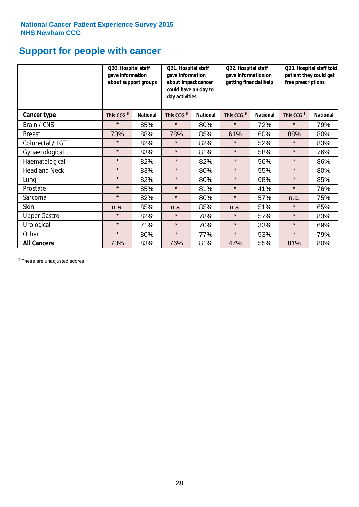# **Support for people with cancer**

|                      |                        | Q20. Hospital staff<br>gave information<br>about support groups |                        | Q21. Hospital staff<br>gave information<br>about impact cancer<br>could have on day to<br>day activities |                        | Q22. Hospital staff<br>gave information on<br>getting financial help |                        | Q23. Hospital staff told<br>patient they could get<br>free prescriptions |  |
|----------------------|------------------------|-----------------------------------------------------------------|------------------------|----------------------------------------------------------------------------------------------------------|------------------------|----------------------------------------------------------------------|------------------------|--------------------------------------------------------------------------|--|
| Cancer type          | This CCG <sup>\$</sup> | <b>National</b>                                                 | This CCG <sup>\$</sup> | <b>National</b>                                                                                          | This CCG <sup>\$</sup> | <b>National</b>                                                      | This CCG <sup>\$</sup> | <b>National</b>                                                          |  |
| Brain / CNS          | $\star$                | 85%                                                             | $\star$                | 80%                                                                                                      | $\star$                | 72%                                                                  | $\star$                | 79%                                                                      |  |
| <b>Breast</b>        | 73%                    | 88%                                                             | 78%                    | 85%                                                                                                      | 61%                    | 60%                                                                  | 88%                    | 80%                                                                      |  |
| Colorectal / LGT     | $\star$                | 82%                                                             | $\star$                | 82%                                                                                                      | $\star$                | 52%                                                                  | $\star$                | 83%                                                                      |  |
| Gynaecological       | $\star$                | 83%                                                             | $\star$                | 81%                                                                                                      | $\star$                | 58%                                                                  | $\star$                | 76%                                                                      |  |
| Haematological       | $\star$                | 82%                                                             | $\star$                | 82%                                                                                                      | $\star$                | 56%                                                                  | $\star$                | 86%                                                                      |  |
| <b>Head and Neck</b> | $\star$                | 83%                                                             | $\star$                | 80%                                                                                                      | $\star$                | 55%                                                                  | $\star$                | 80%                                                                      |  |
| Lung                 | $\star$                | 82%                                                             | $\star$                | 80%                                                                                                      | $\star$                | 68%                                                                  | $\star$                | 85%                                                                      |  |
| Prostate             | $\star$                | 85%                                                             | $\star$                | 81%                                                                                                      | $\star$                | 41%                                                                  | $\star$                | 76%                                                                      |  |
| Sarcoma              | $\star$                | 82%                                                             | $\star$                | 80%                                                                                                      | $\star$                | 57%                                                                  | n.a.                   | 75%                                                                      |  |
| Skin                 | n.a.                   | 85%                                                             | n.a.                   | 85%                                                                                                      | n.a.                   | 51%                                                                  | $\star$                | 65%                                                                      |  |
| <b>Upper Gastro</b>  | $\star$                | 82%                                                             | $\star$                | 78%                                                                                                      | $\star$                | 57%                                                                  | $\star$                | 83%                                                                      |  |
| Urological           | $\star$                | 71%                                                             | $\star$                | 70%                                                                                                      | $\star$                | 33%                                                                  | $\star$                | 69%                                                                      |  |
| Other                | $\star$                | 80%                                                             | $\star$                | 77%                                                                                                      | $\star$                | 53%                                                                  | $\star$                | 79%                                                                      |  |
| <b>All Cancers</b>   | 73%                    | 83%                                                             | 76%                    | 81%                                                                                                      | 47%                    | 55%                                                                  | 81%                    | 80%                                                                      |  |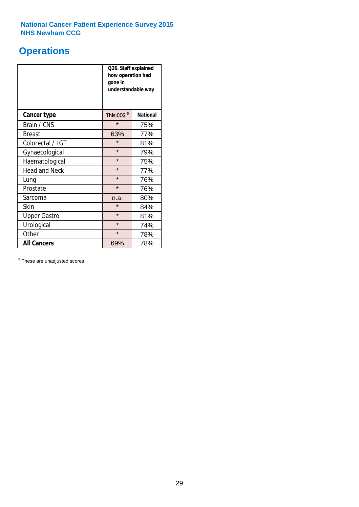# **Operations**

|                      | Q26. Staff explained<br>how operation had<br>gone in<br>understandable way |                 |  |  |  |
|----------------------|----------------------------------------------------------------------------|-----------------|--|--|--|
| <b>Cancer type</b>   | This CCG <sup>\$</sup>                                                     | <b>National</b> |  |  |  |
| Brain / CNS          | $\star$                                                                    | 75%             |  |  |  |
| <b>Breast</b>        | 63%                                                                        | 77%             |  |  |  |
| Colorectal / LGT     | $\star$                                                                    | 81%             |  |  |  |
| Gynaecological       | $\star$                                                                    | 79%             |  |  |  |
| Haematological       | $\star$                                                                    | 75%             |  |  |  |
| <b>Head and Neck</b> | $\star$                                                                    | 77%             |  |  |  |
| Lung                 | $\star$                                                                    | 76%             |  |  |  |
| Prostate             | $\star$                                                                    | 76%             |  |  |  |
| Sarcoma              | n.a.                                                                       | 80%             |  |  |  |
| Skin                 | $\star$                                                                    | 84%             |  |  |  |
| <b>Upper Gastro</b>  | $\star$                                                                    | 81%             |  |  |  |
| Urological           | $\star$                                                                    | 74%             |  |  |  |
| Other                | $\star$                                                                    | 78%             |  |  |  |
| <b>All Cancers</b>   | 69%                                                                        | 78%             |  |  |  |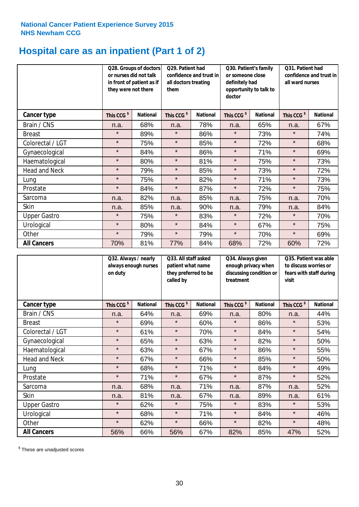# **Hospital care as an inpatient (Part 1 of 2)**

|                      |                        | Q28. Groups of doctors<br>or nurses did not talk<br>in front of patient as if<br>they were not there |                        | Q29. Patient had<br>confidence and trust in<br>all doctors treating<br>them |                        | Q30. Patient's family<br>or someone close<br>definitely had<br>opportunity to talk to<br>doctor |                        | Q31. Patient had<br>confidence and trust in I<br>all ward nurses |  |
|----------------------|------------------------|------------------------------------------------------------------------------------------------------|------------------------|-----------------------------------------------------------------------------|------------------------|-------------------------------------------------------------------------------------------------|------------------------|------------------------------------------------------------------|--|
| Cancer type          | This CCG <sup>\$</sup> | <b>National</b>                                                                                      | This CCG <sup>\$</sup> | <b>National</b>                                                             | This CCG <sup>\$</sup> | <b>National</b>                                                                                 | This CCG <sup>\$</sup> | <b>National</b>                                                  |  |
| Brain / CNS          | n.a.                   | 68%                                                                                                  | n.a.                   | 78%                                                                         | n.a.                   | 65%                                                                                             | n.a.                   | 67%                                                              |  |
| <b>Breast</b>        | $\star$                | 89%                                                                                                  | $\star$                | 86%                                                                         | $\star$                | 73%                                                                                             | $\star$                | 74%                                                              |  |
| Colorectal / LGT     | $\star$                | 75%                                                                                                  | $\star$                | 85%                                                                         | $\star$                | 72%                                                                                             | $\star$                | 68%                                                              |  |
| Gynaecological       | $\star$                | 84%                                                                                                  | $\star$                | 86%                                                                         | $\star$                | 71%                                                                                             | $\star$                | 69%                                                              |  |
| Haematological       | $\star$                | 80%                                                                                                  | $\star$                | 81%                                                                         | $\star$                | 75%                                                                                             | $\star$                | 73%                                                              |  |
| <b>Head and Neck</b> | $\star$                | 79%                                                                                                  | $\star$                | 85%                                                                         | $\star$                | 73%                                                                                             | $\star$                | 72%                                                              |  |
| Lung                 | $\star$                | 75%                                                                                                  | $\star$                | 82%                                                                         | $\star$                | 71%                                                                                             | $\star$                | 73%                                                              |  |
| Prostate             | $\star$                | 84%                                                                                                  | $\star$                | 87%                                                                         | $\star$                | 72%                                                                                             | $\star$                | 75%                                                              |  |
| Sarcoma              | n.a.                   | 82%                                                                                                  | n.a.                   | 85%                                                                         | n.a.                   | 75%                                                                                             | n.a.                   | 70%                                                              |  |
| Skin                 | n.a.                   | 85%                                                                                                  | n.a.                   | 90%                                                                         | n.a.                   | 79%                                                                                             | n.a.                   | 84%                                                              |  |
| <b>Upper Gastro</b>  | $\star$                | 75%                                                                                                  | $\star$                | 83%                                                                         | $\star$                | 72%                                                                                             | $\star$                | 70%                                                              |  |
| Urological           | $\star$                | 80%                                                                                                  | $\star$                | 84%                                                                         | $\star$                | 67%                                                                                             | $\star$                | 75%                                                              |  |
| Other                | $\star$                | 79%                                                                                                  | $\star$                | 79%                                                                         | $\star$                | 70%                                                                                             | $\star$                | 69%                                                              |  |
| <b>All Cancers</b>   | 70%                    | 81%                                                                                                  | 77%                    | 84%                                                                         | 68%                    | 72%                                                                                             | 60%                    | 72%                                                              |  |

|                      | Q32. Always / nearly<br>on duty | always enough nurses | Q33. All staff asked<br>patient what name<br>they preferred to be<br>called by |                 | Q34. Always given<br>enough privacy when<br>discussing condition or<br>treatment |                 | Q35. Patient was able<br>to discuss worries or<br>fears with staff during<br>visit |                 |
|----------------------|---------------------------------|----------------------|--------------------------------------------------------------------------------|-----------------|----------------------------------------------------------------------------------|-----------------|------------------------------------------------------------------------------------|-----------------|
| <b>Cancer type</b>   | This CCG <sup>\$</sup>          | <b>National</b>      | This CCG <sup>\$</sup>                                                         | <b>National</b> | This CCG <sup>\$</sup>                                                           | <b>National</b> | This CCG <sup>\$</sup>                                                             | <b>National</b> |
| Brain / CNS          | n.a.                            | 64%                  | n.a.                                                                           | 69%             | n.a.                                                                             | 80%             | n.a.                                                                               | 44%             |
| <b>Breast</b>        | $\star$                         | 69%                  | $\star$                                                                        | 60%             | $\star$                                                                          | 86%             | $\star$                                                                            | 53%             |
| Colorectal / LGT     | $\star$                         | 61%                  | $\star$                                                                        | 70%             | $\star$                                                                          | 84%             | $\star$                                                                            | 54%             |
| Gynaecological       | $\star$                         | 65%                  | $\star$                                                                        | 63%             | $\star$                                                                          | 82%             | $\star$                                                                            | 50%             |
| Haematological       | $\star$                         | 63%                  | $\star$                                                                        | 67%             | $\star$                                                                          | 86%             | $\star$                                                                            | 55%             |
| <b>Head and Neck</b> | $\star$                         | 67%                  | $\star$                                                                        | 66%             | $\star$                                                                          | 85%             | $\star$                                                                            | 50%             |
| Lung                 | $\star$                         | 68%                  | $\star$                                                                        | 71%             | $\star$                                                                          | 84%             | $\star$                                                                            | 49%             |
| Prostate             | $\star$                         | 71%                  | $\star$                                                                        | 67%             | $\star$                                                                          | 87%             | $\star$                                                                            | 52%             |
| Sarcoma              | n.a.                            | 68%                  | n.a.                                                                           | 71%             | n.a.                                                                             | 87%             | n.a.                                                                               | 52%             |
| Skin                 | n.a.                            | 81%                  | n.a.                                                                           | 67%             | n.a.                                                                             | 89%             | n.a.                                                                               | 61%             |
| <b>Upper Gastro</b>  | $\star$                         | 62%                  | $\star$                                                                        | 75%             | $\star$                                                                          | 83%             | $\star$                                                                            | 53%             |
| Urological           | $\star$                         | 68%                  | $\star$                                                                        | 71%             | $\star$                                                                          | 84%             | $\star$                                                                            | 46%             |
| Other                | $\star$                         | 62%                  | $\star$                                                                        | 66%             | $\star$                                                                          | 82%             | $\star$                                                                            | 48%             |
| <b>All Cancers</b>   | 56%                             | 66%                  | 56%                                                                            | 67%             | 82%                                                                              | 85%             | 47%                                                                                | 52%             |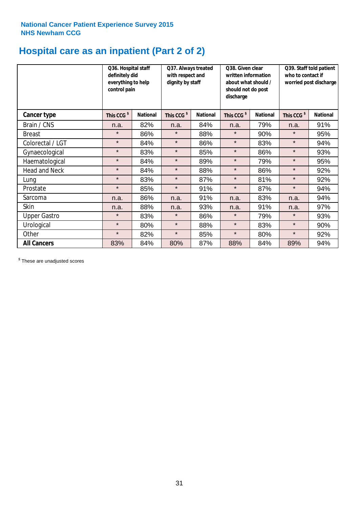# **Hospital care as an inpatient (Part 2 of 2)**

|                      | Q36. Hospital staff<br>definitely did<br>everything to help<br>control pain |                 | Q37. Always treated<br>with respect and<br>dignity by staff |                 | Q38. Given clear<br>written information<br>about what should /<br>should not do post<br>discharge |                 | Q39. Staff told patient<br>who to contact if<br>worried post discharge |                 |
|----------------------|-----------------------------------------------------------------------------|-----------------|-------------------------------------------------------------|-----------------|---------------------------------------------------------------------------------------------------|-----------------|------------------------------------------------------------------------|-----------------|
| Cancer type          | This CCG <sup>\$</sup>                                                      | <b>National</b> | This CCG <sup>\$</sup>                                      | <b>National</b> | This CCG <sup>\$</sup>                                                                            | <b>National</b> | This CCG <sup>\$</sup>                                                 | <b>National</b> |
| Brain / CNS          | n.a.                                                                        | 82%             | n.a.                                                        | 84%             | n.a.                                                                                              | 79%             | n.a.                                                                   | 91%             |
| <b>Breast</b>        | $\star$                                                                     | 86%             | $\star$                                                     | 88%             | $\star$                                                                                           | 90%             | $\star$                                                                | 95%             |
| Colorectal / LGT     | $\star$                                                                     | 84%             | $\star$                                                     | 86%             | $\star$                                                                                           | 83%             | $\star$                                                                | 94%             |
| Gynaecological       | $\star$                                                                     | 83%             | $\star$                                                     | 85%             | $\star$                                                                                           | 86%             | $\star$                                                                | 93%             |
| Haematological       | $\star$                                                                     | 84%             | $\star$                                                     | 89%             | $\star$                                                                                           | 79%             | $\star$                                                                | 95%             |
| <b>Head and Neck</b> | $\star$                                                                     | 84%             | $\star$                                                     | 88%             | $\star$                                                                                           | 86%             | $\star$                                                                | 92%             |
| Lung                 | $\star$                                                                     | 83%             | $\star$                                                     | 87%             | $\star$                                                                                           | 81%             | $\star$                                                                | 92%             |
| Prostate             | $\star$                                                                     | 85%             | $\star$                                                     | 91%             | $\star$                                                                                           | 87%             | $\star$                                                                | 94%             |
| Sarcoma              | n.a.                                                                        | 86%             | n.a.                                                        | 91%             | n.a.                                                                                              | 83%             | n.a.                                                                   | 94%             |
| Skin                 | n.a.                                                                        | 88%             | n.a.                                                        | 93%             | n.a.                                                                                              | 91%             | n.a.                                                                   | 97%             |
| <b>Upper Gastro</b>  | $\star$                                                                     | 83%             | $\star$                                                     | 86%             | $\star$                                                                                           | 79%             | $\star$                                                                | 93%             |
| Urological           | $\star$                                                                     | 80%             | $\star$                                                     | 88%             | $\star$                                                                                           | 83%             | $\star$                                                                | 90%             |
| Other                | $\star$                                                                     | 82%             | $\star$                                                     | 85%             | $\star$                                                                                           | 80%             | $\star$                                                                | 92%             |
| <b>All Cancers</b>   | 83%                                                                         | 84%             | 80%                                                         | 87%             | 88%                                                                                               | 84%             | 89%                                                                    | 94%             |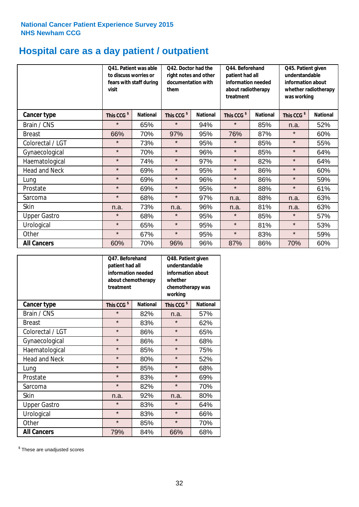# **Hospital care as a day patient / outpatient**

|                      | to discuss worries or<br>visit | Q41. Patient was able<br>fears with staff during | Q42. Doctor had the<br>right notes and other<br>documentation with<br>them |                 | Q44. Beforehand<br>patient had all<br>information needed<br>about radiotherapy<br>treatment |                 | Q45. Patient given<br>understandable<br>information about<br>whether radiotherapy<br>was working |                 |
|----------------------|--------------------------------|--------------------------------------------------|----------------------------------------------------------------------------|-----------------|---------------------------------------------------------------------------------------------|-----------------|--------------------------------------------------------------------------------------------------|-----------------|
| Cancer type          | This CCG <sup>\$</sup>         | <b>National</b>                                  | This CCG <sup>\$</sup>                                                     | <b>National</b> | This CCG <sup>\$</sup>                                                                      | <b>National</b> | This CCG <sup>\$</sup>                                                                           | <b>National</b> |
| Brain / CNS          | $\star$                        | 65%                                              | $\star$                                                                    | 94%             | $\star$                                                                                     | 85%             | n.a.                                                                                             | 52%             |
| <b>Breast</b>        | 66%                            | 70%                                              | 97%                                                                        | 95%             | 76%                                                                                         | 87%             | $\star$                                                                                          | 60%             |
| Colorectal / LGT     | $\star$                        | 73%                                              | $\star$                                                                    | 95%             | $\star$                                                                                     | 85%             | $\star$                                                                                          | 55%             |
| Gynaecological       | $\star$                        | 70%                                              | $\star$                                                                    | 96%             | $\star$                                                                                     | 85%             | $\star$                                                                                          | 64%             |
| Haematological       | $\star$                        | 74%                                              | $\star$                                                                    | 97%             | $\star$                                                                                     | 82%             | $\star$                                                                                          | 64%             |
| <b>Head and Neck</b> | $\star$                        | 69%                                              | $\star$                                                                    | 95%             | $\star$                                                                                     | 86%             | $\star$                                                                                          | 60%             |
| Lung                 | $\star$                        | 69%                                              | $\star$                                                                    | 96%             | $\star$                                                                                     | 86%             | $\star$                                                                                          | 59%             |
| Prostate             | $\star$                        | 69%                                              | $\star$                                                                    | 95%             | $\star$                                                                                     | 88%             | $\star$                                                                                          | 61%             |
| Sarcoma              | $\star$                        | 68%                                              | $\star$                                                                    | 97%             | n.a.                                                                                        | 88%             | n.a.                                                                                             | 63%             |
| Skin                 | n.a.                           | 73%                                              | n.a.                                                                       | 96%             | n.a.                                                                                        | 81%             | n.a.                                                                                             | 63%             |
| <b>Upper Gastro</b>  | $\star$                        | 68%                                              | $\star$                                                                    | 95%             | $\star$                                                                                     | 85%             | $\star$                                                                                          | 57%             |
| Urological           | $\star$                        | 65%                                              | $\star$                                                                    | 95%             | $\star$                                                                                     | 81%             | $\star$                                                                                          | 53%             |
| Other                | $\star$                        | 67%                                              | $\star$                                                                    | 95%             | $\star$                                                                                     | 83%             | $\star$                                                                                          | 59%             |
| <b>All Cancers</b>   | 60%                            | 70%                                              | 96%                                                                        | 96%             | 87%                                                                                         | 86%             | 70%                                                                                              | 60%             |

|                      | O47. Beforehand<br>patient had all<br>information needed<br>treatment | about chemotherapy | Q48. Patient given<br>understandable<br>information about<br>whether<br>chemotherapy was<br>working |                 |  |
|----------------------|-----------------------------------------------------------------------|--------------------|-----------------------------------------------------------------------------------------------------|-----------------|--|
| <b>Cancer type</b>   | This CCG <sup>\$</sup>                                                | <b>National</b>    | This CCG <sup>\$</sup>                                                                              | <b>National</b> |  |
| Brain / CNS          | $\star$                                                               | 82%                | n.a.                                                                                                | 57%             |  |
| <b>Breast</b>        | $\star$                                                               | 83%                | $\star$                                                                                             | 62%             |  |
| Colorectal / LGT     | $\star$                                                               | 86%                | $\star$                                                                                             | 65%             |  |
| Gynaecological       | $\star$                                                               | 86%                | $\star$                                                                                             | 68%             |  |
| Haematological       | $\star$<br>85%                                                        |                    | $\star$                                                                                             | 75%             |  |
| <b>Head and Neck</b> | $\star$                                                               | 80%                | $\star$                                                                                             | 52%             |  |
| Lung                 | $\star$                                                               | 85%                | $\star$                                                                                             | 68%             |  |
| Prostate             | $\star$                                                               | 83%                | $\star$                                                                                             | 69%             |  |
| Sarcoma              | $\star$                                                               | 82%                | $\star$                                                                                             | 70%             |  |
| Skin                 | n.a.                                                                  | 92%                | n.a.                                                                                                | 80%             |  |
| <b>Upper Gastro</b>  | $\star$                                                               | 83%                | $\star$                                                                                             | 64%             |  |
| Urological           | $\star$                                                               | 83%                |                                                                                                     | 66%             |  |
| Other                | $\star$                                                               | 85%                | $\star$                                                                                             | 70%             |  |
| <b>All Cancers</b>   | 79%                                                                   | 84%                | 66%                                                                                                 | 68%             |  |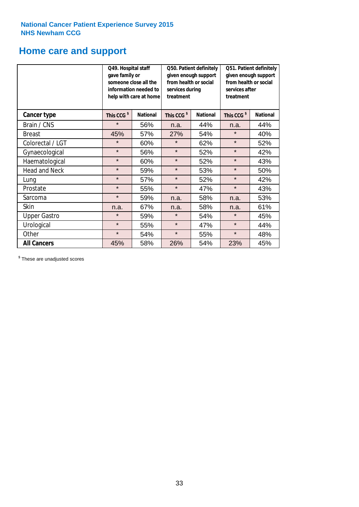# **Home care and support**

|                      | Q49. Hospital staff<br>gave family or                                                  | someone close all the<br>information needed to<br>help with care at home | Q50. Patient definitely<br>given enough support<br>from health or social<br>services during<br>treatment |                 | Q51. Patient definitely<br>given enough support<br>from health or social<br>services after<br>treatment |     |
|----------------------|----------------------------------------------------------------------------------------|--------------------------------------------------------------------------|----------------------------------------------------------------------------------------------------------|-----------------|---------------------------------------------------------------------------------------------------------|-----|
| <b>Cancer type</b>   | This CCG <sup>\$</sup><br>This CCG <sup>\$</sup><br><b>National</b><br><b>National</b> |                                                                          | This CCG <sup>\$</sup>                                                                                   | <b>National</b> |                                                                                                         |     |
| Brain / CNS          | $\star$                                                                                | 56%                                                                      | n.a.                                                                                                     | 44%             | n.a.                                                                                                    | 44% |
| <b>Breast</b>        | 45%                                                                                    | 57%                                                                      | 27%                                                                                                      | 54%             | $\star$                                                                                                 | 40% |
| Colorectal / LGT     | $\star$                                                                                | 60%                                                                      | $\star$                                                                                                  | 62%             | $\star$                                                                                                 | 52% |
| Gynaecological       | $\star$                                                                                | 56%                                                                      | $\star$                                                                                                  | 52%             | $\star$                                                                                                 | 42% |
| Haematological       | $\star$                                                                                | 60%                                                                      | $\star$                                                                                                  | 52%             | $\star$                                                                                                 | 43% |
| <b>Head and Neck</b> | $\star$                                                                                | 59%                                                                      | $\star$                                                                                                  | 53%             | $\star$                                                                                                 | 50% |
| Lung                 | $\star$                                                                                | 57%                                                                      | $\star$                                                                                                  | 52%             | $\star$                                                                                                 | 42% |
| Prostate             | $\star$                                                                                | 55%                                                                      | $\star$                                                                                                  | 47%             | $\star$                                                                                                 | 43% |
| Sarcoma              | $\star$                                                                                | 59%                                                                      | n.a.                                                                                                     | 58%             | n.a.                                                                                                    | 53% |
| Skin                 | n.a.                                                                                   | 67%                                                                      | n.a.                                                                                                     | 58%             | n.a.                                                                                                    | 61% |
| <b>Upper Gastro</b>  | $\star$                                                                                | 59%                                                                      | $\star$                                                                                                  | 54%             | $\star$                                                                                                 | 45% |
| Urological           | $\star$                                                                                | 55%                                                                      | $\star$                                                                                                  | 47%             | $\star$                                                                                                 | 44% |
| Other                | $\star$                                                                                | 54%                                                                      | $\star$                                                                                                  | 55%             | $\star$                                                                                                 | 48% |
| <b>All Cancers</b>   | 45%                                                                                    | 58%                                                                      | 26%                                                                                                      | 54%             | 23%                                                                                                     | 45% |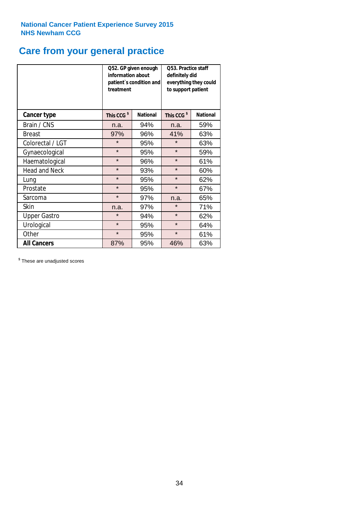# **Care from your general practice**

|                      | information about<br>treatment | Q52. GP given enough<br>patient's condition and | O53. Practice staff<br>definitely did<br>everything they could<br>to support patient |                 |  |
|----------------------|--------------------------------|-------------------------------------------------|--------------------------------------------------------------------------------------|-----------------|--|
| <b>Cancer type</b>   | This CCG <sup>\$</sup>         | <b>National</b>                                 | This CCG <sup>\$</sup>                                                               | <b>National</b> |  |
| Brain / CNS          | n.a.                           | 94%                                             | n.a.                                                                                 | 59%             |  |
| <b>Breast</b>        | 97%                            | 96%                                             | 41%                                                                                  | 63%             |  |
| Colorectal / LGT     | $\star$                        | 95%                                             | $\star$                                                                              | 63%             |  |
| Gynaecological       | $\star$                        | 95%                                             | $\star$                                                                              | 59%             |  |
| Haematological       | $\star$                        | 96%                                             | $\star$                                                                              | 61%             |  |
| <b>Head and Neck</b> | $\star$                        | 93%                                             | $\star$                                                                              | 60%             |  |
| Lung                 | $\star$                        | 95%                                             | $\star$                                                                              | 62%             |  |
| Prostate             | $\star$                        | 95%                                             | $\star$                                                                              | 67%             |  |
| Sarcoma              | $\star$                        | 97%                                             | n.a.                                                                                 | 65%             |  |
| Skin                 | n.a.                           | 97%                                             | $\star$                                                                              | 71%             |  |
| <b>Upper Gastro</b>  | $\star$                        | 94%                                             | $\star$                                                                              | 62%             |  |
| Urological           | $\star$                        | 95%                                             | $\star$                                                                              | 64%             |  |
| Other                | $\star$                        | 95%                                             | $\star$                                                                              | 61%             |  |
| <b>All Cancers</b>   | 87%                            | 95%                                             | 46%                                                                                  | 63%             |  |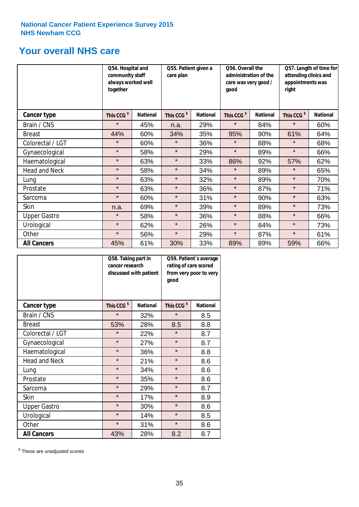# **Your overall NHS care**

|                      | Q54. Hospital and<br>community staff<br>always worked well<br>together |                 | Q55. Patient given a<br>care plan |                 | Q56. Overall the<br>administration of the<br>care was very good /<br>good |                 | Q57. Length of time for<br>attending clinics and<br>appointments was<br>right |                 |
|----------------------|------------------------------------------------------------------------|-----------------|-----------------------------------|-----------------|---------------------------------------------------------------------------|-----------------|-------------------------------------------------------------------------------|-----------------|
| <b>Cancer type</b>   | This CCG <sup>\$</sup>                                                 | <b>National</b> | This CCG <sup>\$</sup>            | <b>National</b> | This CCG <sup>\$</sup>                                                    | <b>National</b> | This CCG <sup>\$</sup>                                                        | <b>National</b> |
| Brain / CNS          | $\star$                                                                | 45%             | n.a.                              | 29%             | $\star$                                                                   | 84%             | $\star$                                                                       | 60%             |
| <b>Breast</b>        | 44%                                                                    | 60%             | 34%                               | 35%             | 95%                                                                       | 90%             | 61%                                                                           | 64%             |
| Colorectal / LGT     | $\star$                                                                | 60%             | $\star$                           | 36%             | $\star$                                                                   | 88%             | $\star$                                                                       | 68%             |
| Gynaecological       | $\star$                                                                | 58%             | $\star$                           | 29%             | $\star$                                                                   | 89%             | $\star$                                                                       | 66%             |
| Haematological       | $\star$                                                                | 63%             | $\star$                           | 33%             | 86%                                                                       | 92%             | 57%                                                                           | 62%             |
| <b>Head and Neck</b> | $\star$                                                                | 58%             | $\star$                           | 34%             | $\star$                                                                   | 89%             | $\star$                                                                       | 65%             |
| Lung                 | $\star$                                                                | 63%             | $\star$                           | 32%             | $\star$                                                                   | 89%             | $\star$                                                                       | 70%             |
| Prostate             | $\star$                                                                | 63%             | $\star$                           | 36%             | $\star$                                                                   | 87%             | $\star$                                                                       | 71%             |
| Sarcoma              | $\star$                                                                | 60%             | $\star$                           | 31%             | $\star$                                                                   | 90%             | $\star$                                                                       | 63%             |
| Skin                 | n.a.                                                                   | 69%             | $\star$                           | 39%             | $\star$                                                                   | 89%             | $\star$                                                                       | 73%             |
| <b>Upper Gastro</b>  | $\star$                                                                | 58%             | $\star$                           | 36%             | $\star$                                                                   | 88%             | $\star$                                                                       | 66%             |
| Urological           | $\star$                                                                | 62%             | $\star$                           | 26%             | $\star$                                                                   | 84%             | $\star$                                                                       | 73%             |
| Other                | $\star$                                                                | 56%             | $\star$                           | 29%             | $\star$                                                                   | 87%             | $\star$                                                                       | 61%             |
| <b>All Cancers</b>   | 45%                                                                    | 61%             | 30%                               | 33%             | 89%                                                                       | 89%             | 59%                                                                           | 66%             |

|                      | Q58. Taking part in<br>cancer research | discussed with patient | Q59. Patient's average<br>rating of care scored<br>from very poor to very<br>good |                 |  |
|----------------------|----------------------------------------|------------------------|-----------------------------------------------------------------------------------|-----------------|--|
| <b>Cancer type</b>   | This CCG <sup>\$</sup>                 | <b>National</b>        | This CCG <sup>\$</sup>                                                            | <b>National</b> |  |
| Brain / CNS          | $\star$                                | 32%                    | $\star$                                                                           | 8.5             |  |
| <b>Breast</b>        | 53%                                    | 28%                    | 8.5                                                                               | 8.8             |  |
| Colorectal / LGT     | $\star$                                | 22%                    | $\star$                                                                           | 8.7             |  |
| Gynaecological       | $\star$                                | 27%                    | $\star$                                                                           | 8.7             |  |
| Haematological       | $\star$                                | 36%                    | $\star$                                                                           | 8.8             |  |
| <b>Head and Neck</b> | $\star$                                | 21%                    | $\star$                                                                           | 8.6             |  |
| Lung                 | $\star$                                | 34%                    | $\star$                                                                           | 8.6             |  |
| Prostate             | $\star$                                | 35%                    | $\star$                                                                           | 8.6             |  |
| Sarcoma              | $\star$                                | 29%                    | $\star$                                                                           | 8.7             |  |
| <b>Skin</b>          | $\star$                                | 17%                    | $\star$                                                                           | 8.9             |  |
| <b>Upper Gastro</b>  | $\star$                                | 30%                    | $\star$                                                                           | 8.6             |  |
| Urological           | $\star$                                | 14%                    | $\star$                                                                           | 8.5             |  |
| Other                | $\star$                                | 31%                    | $\star$                                                                           | 8.6             |  |
| <b>All Cancers</b>   | 43%                                    | 28%                    | 8.2                                                                               | 8.7             |  |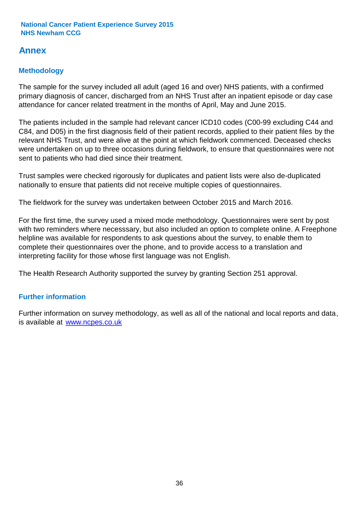# **Annex**

# **Methodology**

The sample for the survey included all adult (aged 16 and over) NHS patients, with a confirmed primary diagnosis of cancer, discharged from an NHS Trust after an inpatient episode or day case attendance for cancer related treatment in the months of April, May and June 2015.

The patients included in the sample had relevant cancer ICD10 codes (C00-99 excluding C44 and C84, and D05) in the first diagnosis field of their patient records, applied to their patient files by the relevant NHS Trust, and were alive at the point at which fieldwork commenced. Deceased checks were undertaken on up to three occasions during fieldwork, to ensure that questionnaires were not sent to patients who had died since their treatment.

Trust samples were checked rigorously for duplicates and patient lists were also de-duplicated nationally to ensure that patients did not receive multiple copies of questionnaires.

The fieldwork for the survey was undertaken between October 2015 and March 2016.

For the first time, the survey used a mixed mode methodology. Questionnaires were sent by post with two reminders where necesssary, but also included an option to complete online. A Freephone helpline was available for respondents to ask questions about the survey, to enable them to complete their questionnaires over the phone, and to provide access to a translation and interpreting facility for those whose first language was not English.

The Health Research Authority supported the survey by granting Section 251 approval.

# **Further information**

Further information on survey methodology, as well as all of the national and local reports and data, is available at www.ncpes.co.uk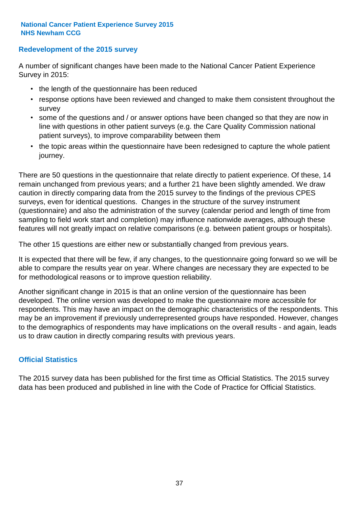### **Redevelopment of the 2015 survey**

A number of significant changes have been made to the National Cancer Patient Experience Survey in 2015:

- the length of the questionnaire has been reduced
- response options have been reviewed and changed to make them consistent throughout the survey
- some of the questions and / or answer options have been changed so that they are now in line with questions in other patient surveys (e.g. the Care Quality Commission national patient surveys), to improve comparability between them
- the topic areas within the questionnaire have been redesigned to capture the whole patient journey.

There are 50 questions in the questionnaire that relate directly to patient experience. Of these, 14 remain unchanged from previous years; and a further 21 have been slightly amended. We draw caution in directly comparing data from the 2015 survey to the findings of the previous CPES surveys, even for identical questions. Changes in the structure of the survey instrument (questionnaire) and also the administration of the survey (calendar period and length of time from sampling to field work start and completion) may influence nationwide averages, although these features will not greatly impact on relative comparisons (e.g. between patient groups or hospitals).

The other 15 questions are either new or substantially changed from previous years.

It is expected that there will be few, if any changes, to the questionnaire going forward so we will be able to compare the results year on year. Where changes are necessary they are expected to be for methodological reasons or to improve question reliability.

Another significant change in 2015 is that an online version of the questionnaire has been developed. The online version was developed to make the questionnaire more accessible for respondents. This may have an impact on the demographic characteristics of the respondents. This may be an improvement if previously underrepresented groups have responded. However, changes to the demographics of respondents may have implications on the overall results - and again, leads us to draw caution in directly comparing results with previous years.

### **Official Statistics**

The 2015 survey data has been published for the first time as Official Statistics. The 2015 survey data has been produced and published in line with the Code of Practice for Official Statistics.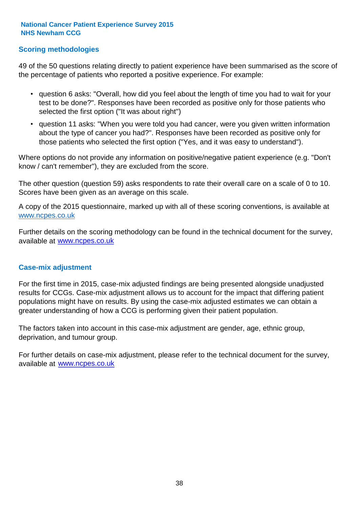### **Scoring methodologies**

49 of the 50 questions relating directly to patient experience have been summarised as the score of the percentage of patients who reported a positive experience. For example:

- question 6 asks: "Overall, how did you feel about the length of time you had to wait for your test to be done?". Responses have been recorded as positive only for those patients who selected the first option ("It was about right")
- question 11 asks: "When you were told you had cancer, were you given written information about the type of cancer you had?". Responses have been recorded as positive only for those patients who selected the first option ("Yes, and it was easy to understand").

Where options do not provide any information on positive/negative patient experience (e.g. "Don't know / can't remember"), they are excluded from the score.

The other question (question 59) asks respondents to rate their overall care on a scale of 0 to 10. Scores have been given as an average on this scale.

A copy of the 2015 questionnaire, marked up with all of these scoring conventions, is available at www.ncpes.co.uk

Further details on the scoring methodology can be found in the technical document for the survey, available at <u>www.ncpes.co.uk</u>

#### **Case-mix adjustment**

For the first time in 2015, case-mix adjusted findings are being presented alongside unadjusted results for CCGs. Case-mix adjustment allows us to account for the impact that differing patient populations might have on results. By using the case-mix adjusted estimates we can obtain a greater understanding of how a CCG is performing given their patient population.

The factors taken into account in this case-mix adjustment are gender, age, ethnic group, deprivation, and tumour group.

For further details on case-mix adjustment, please refer to the technical document for the survey, available at www.ncpes.co.uk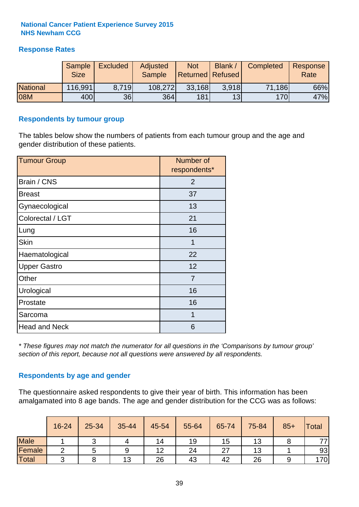## **Response Rates**

|                 | Sample      | <b>Excluded</b> | Adjusted      | <b>Not</b>              | Blank / | Completed | Response |
|-----------------|-------------|-----------------|---------------|-------------------------|---------|-----------|----------|
|                 | <b>Size</b> |                 | <b>Sample</b> | <b>Returned Refused</b> |         |           | Rate     |
| <b>National</b> | 116,991     | 8.719           | 108,272       | 33,168                  | 3.918   | 71,186    | 66%      |
| 08M             | 400         | 36              | <b>364</b>    | 181                     | 13      | 170       | 47%      |

#### **Respondents by tumour group**

The tables below show the numbers of patients from each tumour group and the age and gender distribution of these patients.

| <b>Tumour Group</b>  | Number of<br>respondents* |
|----------------------|---------------------------|
| Brain / CNS          | 2                         |
| <b>Breast</b>        | 37                        |
| Gynaecological       | 13                        |
| Colorectal / LGT     | 21                        |
| Lung                 | 16                        |
| <b>Skin</b>          | 1                         |
| Haematological       | 22                        |
| <b>Upper Gastro</b>  | 12                        |
| Other                | 7                         |
| Urological           | 16                        |
| Prostate             | 16                        |
| Sarcoma              | 1                         |
| <b>Head and Neck</b> | 6                         |

*\* These figures may not match the numerator for all questions in the 'Comparisons by tumour group' section of this report, because not all questions were answered by all respondents.*

### **Respondents by age and gender**

The questionnaire asked respondents to give their year of birth. This information has been amalgamated into 8 age bands. The age and gender distribution for the CCG was as follows:

|             | 16-24 | 25-34 | 35-44 | 45-54 | 55-64 | 65-74 | 75-84 | $85+$ | <b>Total</b> |
|-------------|-------|-------|-------|-------|-------|-------|-------|-------|--------------|
| <b>Male</b> |       |       |       | 14    | 19    | 15    | 13    |       | 77,          |
| Female      |       |       | 9     | 12    | 24    | 27    | 13    |       | 93           |
| Total       | ⌒     |       | 13    | 26    | 43    | 42    | 26    |       | 170          |